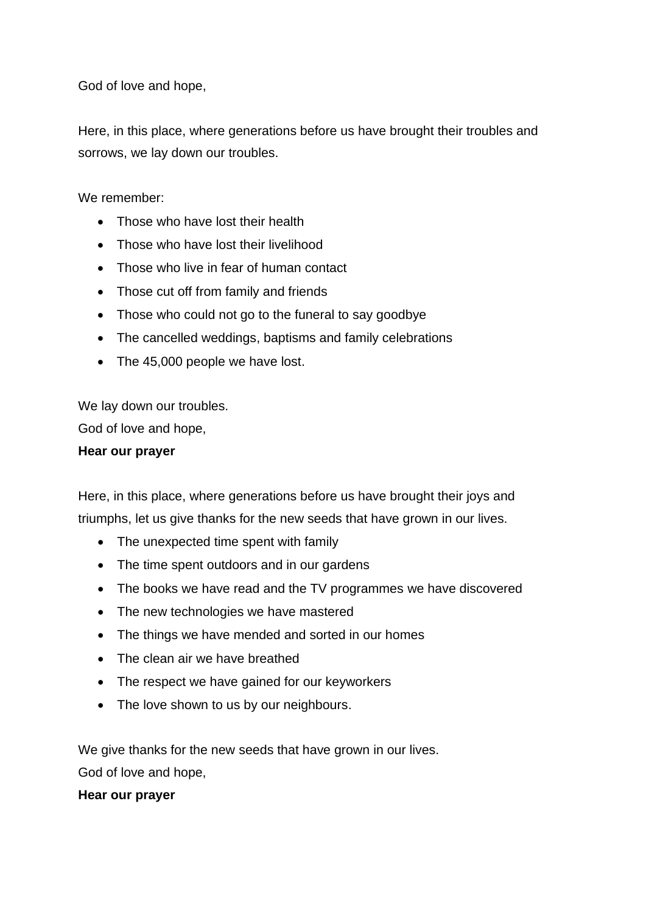God of love and hope,

Here, in this place, where generations before us have brought their troubles and sorrows, we lay down our troubles.

We remember:

- Those who have lost their health
- Those who have lost their livelihood
- Those who live in fear of human contact
- Those cut off from family and friends
- Those who could not go to the funeral to say goodbye
- The cancelled weddings, baptisms and family celebrations
- The 45,000 people we have lost.

We lay down our troubles.

God of love and hope,

## **Hear our prayer**

Here, in this place, where generations before us have brought their joys and triumphs, let us give thanks for the new seeds that have grown in our lives.

- The unexpected time spent with family
- The time spent outdoors and in our gardens
- The books we have read and the TV programmes we have discovered
- The new technologies we have mastered
- The things we have mended and sorted in our homes
- The clean air we have breathed
- The respect we have gained for our keyworkers
- The love shown to us by our neighbours.

We give thanks for the new seeds that have grown in our lives.

God of love and hope,

## **Hear our prayer**